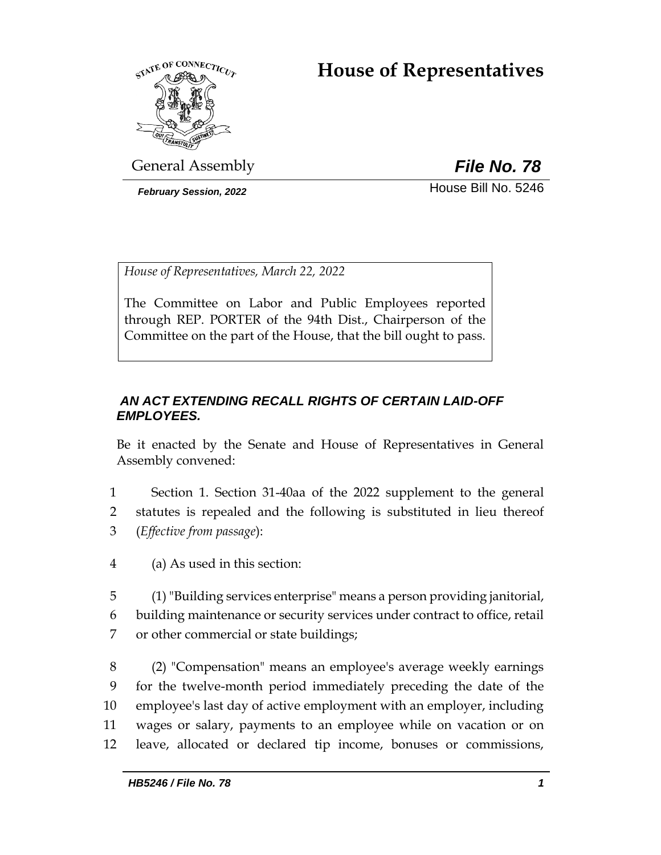# **House of Representatives**



General Assembly *File No. 78*

**February Session, 2022 House Bill No. 5246** 

*House of Representatives, March 22, 2022*

The Committee on Labor and Public Employees reported through REP. PORTER of the 94th Dist., Chairperson of the Committee on the part of the House, that the bill ought to pass.

## *AN ACT EXTENDING RECALL RIGHTS OF CERTAIN LAID-OFF EMPLOYEES.*

Be it enacted by the Senate and House of Representatives in General Assembly convened:

- 1 Section 1. Section 31-40aa of the 2022 supplement to the general 2 statutes is repealed and the following is substituted in lieu thereof 3 (*Effective from passage*):
- 4 (a) As used in this section:
- 5 (1) "Building services enterprise" means a person providing janitorial, 6 building maintenance or security services under contract to office, retail 7 or other commercial or state buildings;

 (2) "Compensation" means an employee's average weekly earnings for the twelve-month period immediately preceding the date of the employee's last day of active employment with an employer, including wages or salary, payments to an employee while on vacation or on leave, allocated or declared tip income, bonuses or commissions,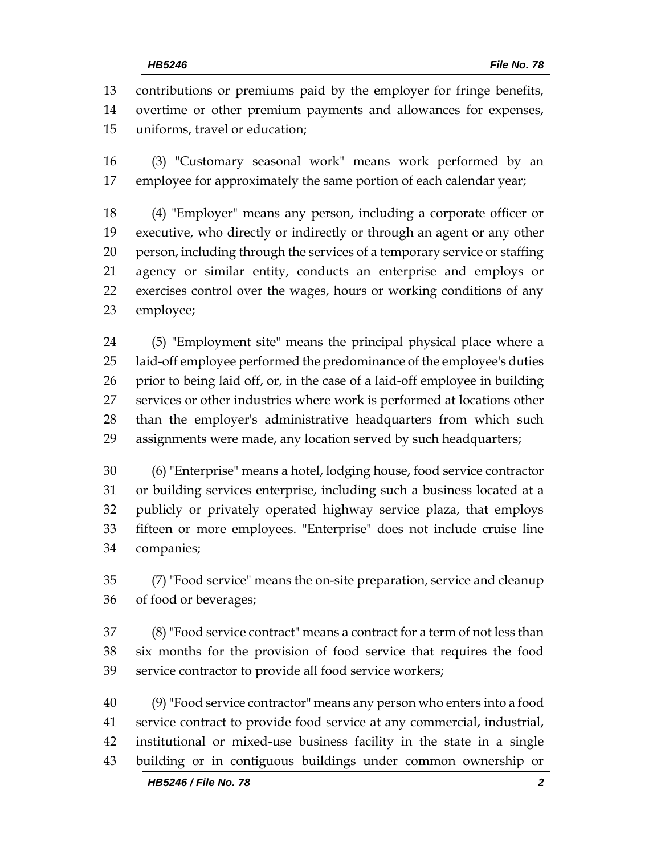contributions or premiums paid by the employer for fringe benefits, overtime or other premium payments and allowances for expenses, uniforms, travel or education;

 (3) "Customary seasonal work" means work performed by an employee for approximately the same portion of each calendar year;

 (4) "Employer" means any person, including a corporate officer or executive, who directly or indirectly or through an agent or any other person, including through the services of a temporary service or staffing agency or similar entity, conducts an enterprise and employs or exercises control over the wages, hours or working conditions of any employee;

 (5) "Employment site" means the principal physical place where a laid-off employee performed the predominance of the employee's duties prior to being laid off, or, in the case of a laid-off employee in building services or other industries where work is performed at locations other than the employer's administrative headquarters from which such assignments were made, any location served by such headquarters;

 (6) "Enterprise" means a hotel, lodging house, food service contractor or building services enterprise, including such a business located at a publicly or privately operated highway service plaza, that employs fifteen or more employees. "Enterprise" does not include cruise line companies;

 (7) "Food service" means the on-site preparation, service and cleanup of food or beverages;

 (8) "Food service contract" means a contract for a term of not less than six months for the provision of food service that requires the food service contractor to provide all food service workers;

 (9)"Food service contractor" means any person who enters into a food service contract to provide food service at any commercial, industrial, institutional or mixed-use business facility in the state in a single building or in contiguous buildings under common ownership or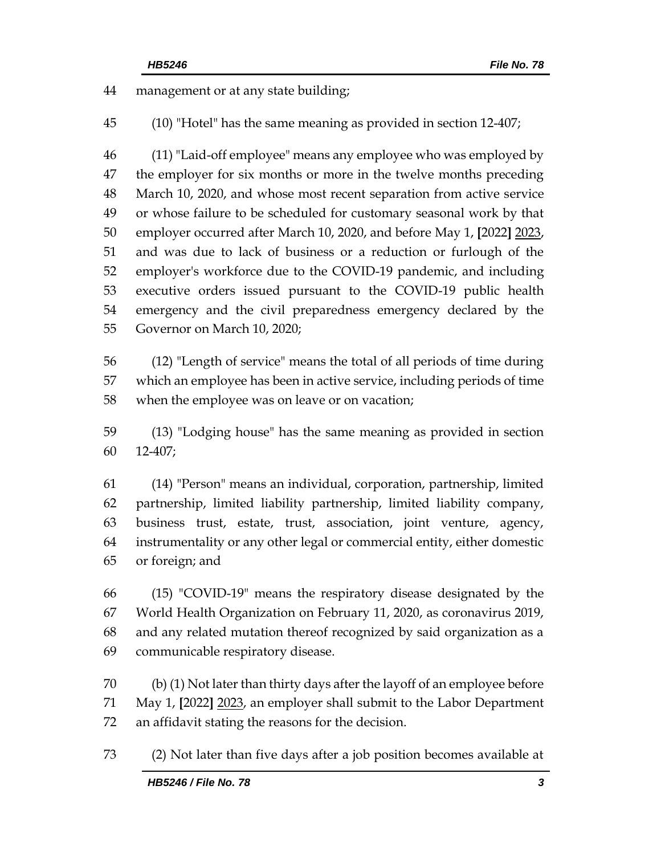management or at any state building;

(10) "Hotel" has the same meaning as provided in section 12-407;

 (11) "Laid-off employee" means any employee who was employed by 47 the employer for six months or more in the twelve months preceding March 10, 2020, and whose most recent separation from active service or whose failure to be scheduled for customary seasonal work by that employer occurred after March 10, 2020, and before May 1, **[**2022**]** 2023, and was due to lack of business or a reduction or furlough of the employer's workforce due to the COVID-19 pandemic, and including executive orders issued pursuant to the COVID-19 public health emergency and the civil preparedness emergency declared by the Governor on March 10, 2020;

 (12) "Length of service" means the total of all periods of time during which an employee has been in active service, including periods of time when the employee was on leave or on vacation;

 (13) "Lodging house" has the same meaning as provided in section 12-407;

 (14) "Person" means an individual, corporation, partnership, limited partnership, limited liability partnership, limited liability company, business trust, estate, trust, association, joint venture, agency, instrumentality or any other legal or commercial entity, either domestic or foreign; and

 (15) "COVID-19" means the respiratory disease designated by the World Health Organization on February 11, 2020, as coronavirus 2019, and any related mutation thereof recognized by said organization as a communicable respiratory disease.

 (b) (1) Not later than thirty days after the layoff of an employee before May 1, **[**2022**]** 2023, an employer shall submit to the Labor Department an affidavit stating the reasons for the decision.

(2) Not later than five days after a job position becomes available at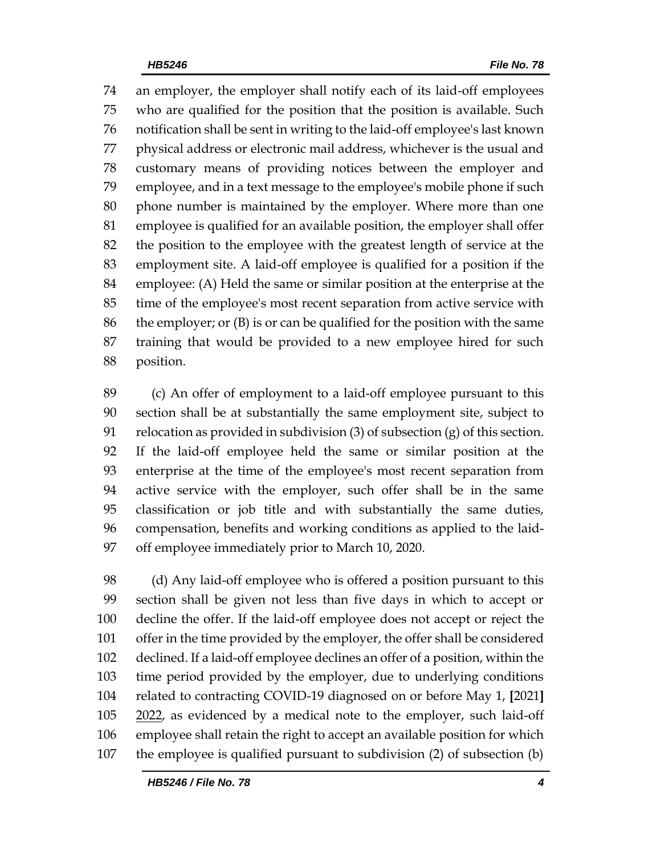an employer, the employer shall notify each of its laid-off employees who are qualified for the position that the position is available. Such notification shall be sent in writing to the laid-off employee's last known physical address or electronic mail address, whichever is the usual and customary means of providing notices between the employer and employee, and in a text message to the employee's mobile phone if such phone number is maintained by the employer. Where more than one employee is qualified for an available position, the employer shall offer the position to the employee with the greatest length of service at the employment site. A laid-off employee is qualified for a position if the employee: (A) Held the same or similar position at the enterprise at the time of the employee's most recent separation from active service with the employer; or (B) is or can be qualified for the position with the same training that would be provided to a new employee hired for such position.

 (c) An offer of employment to a laid-off employee pursuant to this section shall be at substantially the same employment site, subject to 91 relocation as provided in subdivision  $(3)$  of subsection  $(g)$  of this section. If the laid-off employee held the same or similar position at the enterprise at the time of the employee's most recent separation from active service with the employer, such offer shall be in the same classification or job title and with substantially the same duties, compensation, benefits and working conditions as applied to the laid-off employee immediately prior to March 10, 2020.

 (d) Any laid-off employee who is offered a position pursuant to this section shall be given not less than five days in which to accept or decline the offer. If the laid-off employee does not accept or reject the offer in the time provided by the employer, the offer shall be considered declined. If a laid-off employee declines an offer of a position, within the time period provided by the employer, due to underlying conditions related to contracting COVID-19 diagnosed on or before May 1, **[**2021**]** 105 2022, as evidenced by a medical note to the employer, such laid-off employee shall retain the right to accept an available position for which the employee is qualified pursuant to subdivision (2) of subsection (b)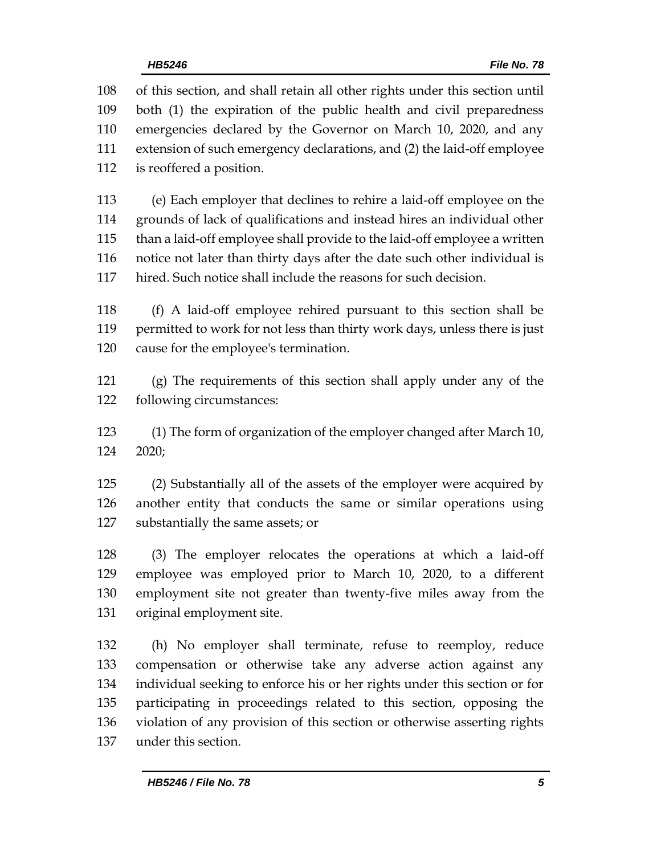of this section, and shall retain all other rights under this section until both (1) the expiration of the public health and civil preparedness emergencies declared by the Governor on March 10, 2020, and any extension of such emergency declarations, and (2) the laid-off employee is reoffered a position.

 (e) Each employer that declines to rehire a laid-off employee on the grounds of lack of qualifications and instead hires an individual other than a laid-off employee shall provide to the laid-off employee a written notice not later than thirty days after the date such other individual is hired. Such notice shall include the reasons for such decision.

 (f) A laid-off employee rehired pursuant to this section shall be permitted to work for not less than thirty work days, unless there is just cause for the employee's termination.

 (g) The requirements of this section shall apply under any of the following circumstances:

 (1) The form of organization of the employer changed after March 10, 2020;

 (2) Substantially all of the assets of the employer were acquired by another entity that conducts the same or similar operations using substantially the same assets; or

 (3) The employer relocates the operations at which a laid-off employee was employed prior to March 10, 2020, to a different employment site not greater than twenty-five miles away from the original employment site.

 (h) No employer shall terminate, refuse to reemploy, reduce compensation or otherwise take any adverse action against any individual seeking to enforce his or her rights under this section or for participating in proceedings related to this section, opposing the violation of any provision of this section or otherwise asserting rights under this section.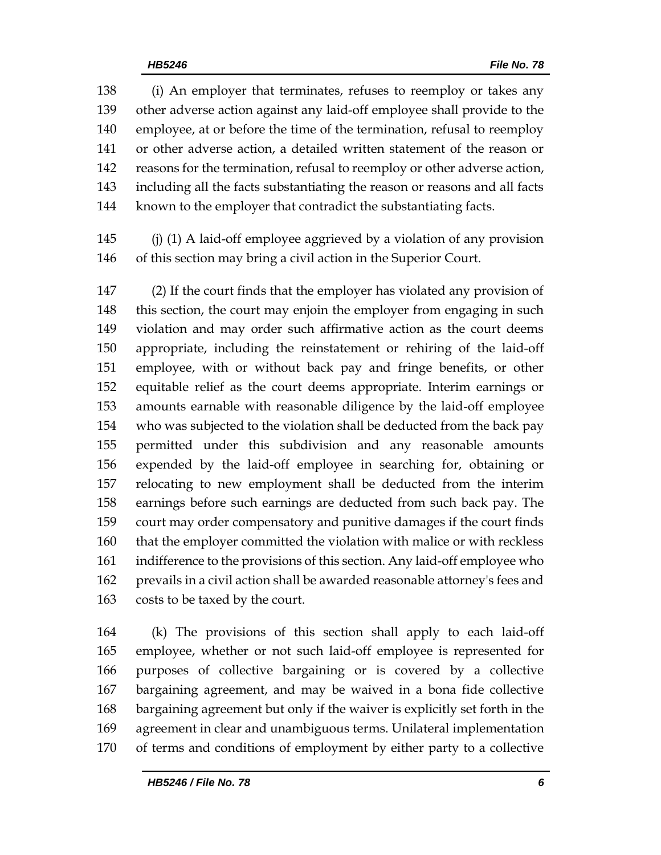(i) An employer that terminates, refuses to reemploy or takes any other adverse action against any laid-off employee shall provide to the employee, at or before the time of the termination, refusal to reemploy or other adverse action, a detailed written statement of the reason or reasons for the termination, refusal to reemploy or other adverse action, including all the facts substantiating the reason or reasons and all facts known to the employer that contradict the substantiating facts.

 (j) (1) A laid-off employee aggrieved by a violation of any provision of this section may bring a civil action in the Superior Court.

 (2) If the court finds that the employer has violated any provision of this section, the court may enjoin the employer from engaging in such violation and may order such affirmative action as the court deems appropriate, including the reinstatement or rehiring of the laid-off employee, with or without back pay and fringe benefits, or other equitable relief as the court deems appropriate. Interim earnings or amounts earnable with reasonable diligence by the laid-off employee who was subjected to the violation shall be deducted from the back pay permitted under this subdivision and any reasonable amounts expended by the laid-off employee in searching for, obtaining or relocating to new employment shall be deducted from the interim earnings before such earnings are deducted from such back pay. The court may order compensatory and punitive damages if the court finds that the employer committed the violation with malice or with reckless indifference to the provisions of this section. Any laid-off employee who prevails in a civil action shall be awarded reasonable attorney's fees and costs to be taxed by the court.

 (k) The provisions of this section shall apply to each laid-off employee, whether or not such laid-off employee is represented for purposes of collective bargaining or is covered by a collective bargaining agreement, and may be waived in a bona fide collective bargaining agreement but only if the waiver is explicitly set forth in the agreement in clear and unambiguous terms. Unilateral implementation of terms and conditions of employment by either party to a collective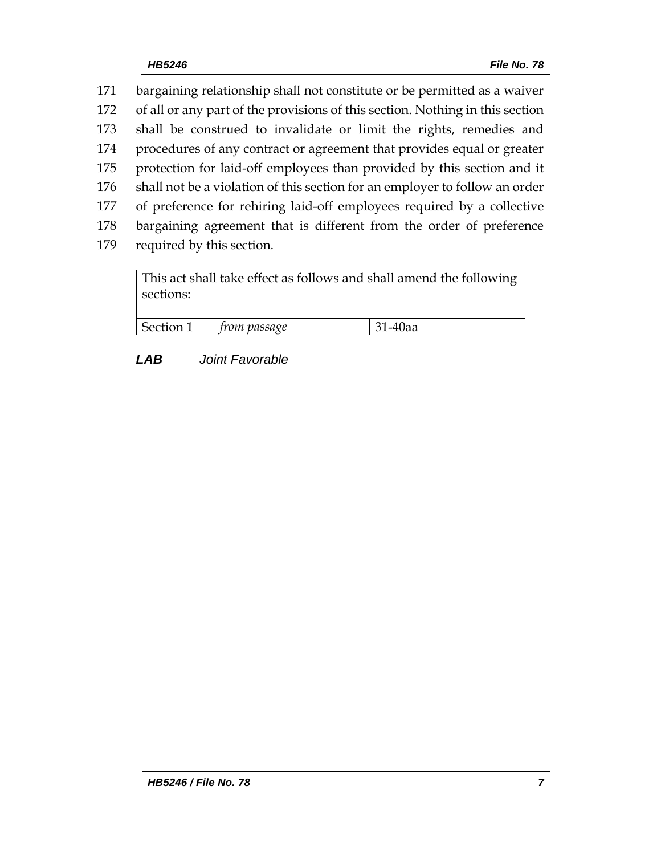| 171 | bargaining relationship shall not constitute or be permitted as a waiver      |
|-----|-------------------------------------------------------------------------------|
| 172 | of all or any part of the provisions of this section. Nothing in this section |
| 173 | shall be construed to invalidate or limit the rights, remedies and            |
| 174 | procedures of any contract or agreement that provides equal or greater        |
| 175 | protection for laid-off employees than provided by this section and it        |
| 176 | shall not be a violation of this section for an employer to follow an order   |
| 177 | of preference for rehiring laid-off employees required by a collective        |
| 178 | bargaining agreement that is different from the order of preference           |
| 179 | required by this section.                                                     |
|     |                                                                               |

| This act shall take effect as follows and shall amend the following<br>sections: |                     |         |  |
|----------------------------------------------------------------------------------|---------------------|---------|--|
| Section 1                                                                        | $\mid$ from passage | 31-40aa |  |

# *LAB Joint Favorable*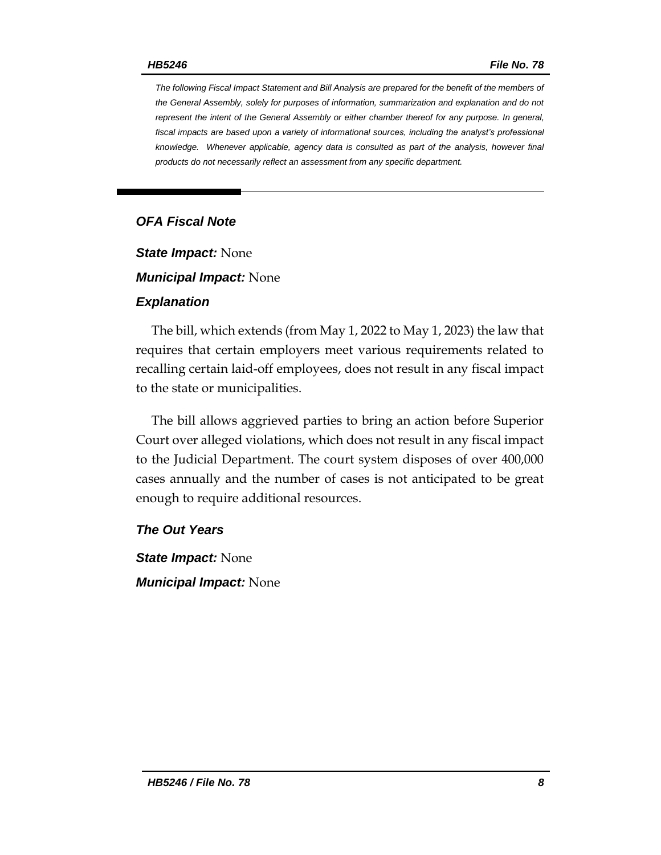*The following Fiscal Impact Statement and Bill Analysis are prepared for the benefit of the members of the General Assembly, solely for purposes of information, summarization and explanation and do not represent the intent of the General Assembly or either chamber thereof for any purpose. In general,*  fiscal impacts are based upon a variety of informational sources, including the analyst's professional *knowledge. Whenever applicable, agency data is consulted as part of the analysis, however final products do not necessarily reflect an assessment from any specific department.*

## *OFA Fiscal Note*

*State Impact:* None

*Municipal Impact:* None

#### *Explanation*

The bill, which extends (from May 1, 2022 to May 1, 2023) the law that requires that certain employers meet various requirements related to recalling certain laid-off employees, does not result in any fiscal impact to the state or municipalities.

The bill allows aggrieved parties to bring an action before Superior Court over alleged violations, which does not result in any fiscal impact to the Judicial Department. The court system disposes of over 400,000 cases annually and the number of cases is not anticipated to be great enough to require additional resources.

#### *The Out Years*

*State Impact:* None *Municipal Impact:* None